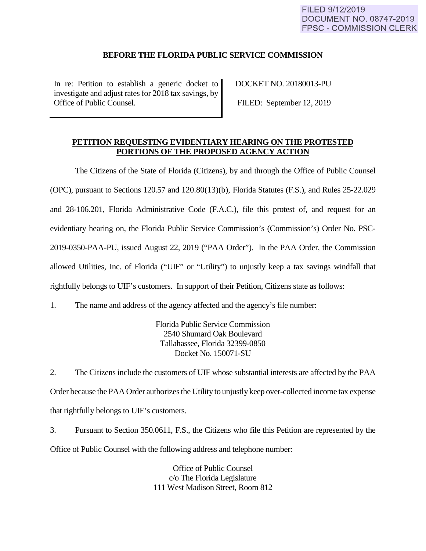## **BEFORE THE FLORIDA PUBLIC SERVICE COMMISSION**

In re: Petition to establish a generic docket to investigate and adjust rates for 2018 tax savings, by Office of Public Counsel.

DOCKET NO. 20180013-PU

FILED: September 12, 2019

# **PETITION REQUESTING EVIDENTIARY HEARING ON THE PROTESTED PORTIONS OF THE PROPOSED AGENCY ACTION**

The Citizens of the State of Florida (Citizens), by and through the Office of Public Counsel (OPC), pursuant to Sections 120.57 and 120.80(13)(b), Florida Statutes (F.S.), and Rules 25-22.029 and 28-106.201, Florida Administrative Code (F.A.C.), file this protest of, and request for an evidentiary hearing on, the Florida Public Service Commission's (Commission's) Order No. PSC-2019-0350-PAA-PU, issued August 22, 2019 ("PAA Order"). In the PAA Order, the Commission allowed Utilities, Inc. of Florida ("UIF" or "Utility") to unjustly keep a tax savings windfall that rightfully belongs to UIF's customers. In support of their Petition, Citizens state as follows:

1. The name and address of the agency affected and the agency's file number:

Florida Public Service Commission 2540 Shumard Oak Boulevard Tallahassee, Florida 32399-0850 Docket No. 150071-SU

2. The Citizens include the customers of UIF whose substantial interests are affected by the PAA Order because the PAA Order authorizes the Utility to unjustly keep over-collected income tax expense that rightfully belongs to UIF's customers.

3. Pursuant to Section 350.0611, F.S., the Citizens who file this Petition are represented by the Office of Public Counsel with the following address and telephone number:

> Office of Public Counsel c/o The Florida Legislature 111 West Madison Street, Room 812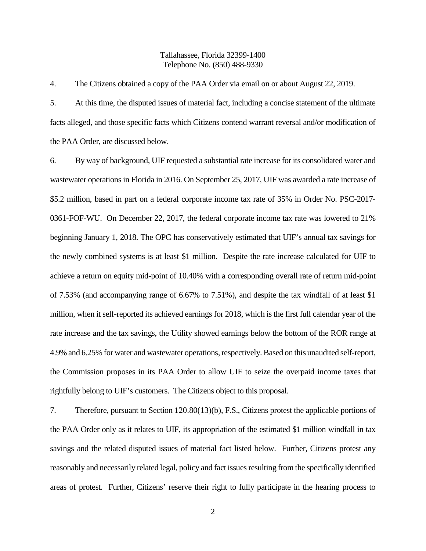## Tallahassee, Florida 32399-1400 Telephone No. (850) 488-9330

4. The Citizens obtained a copy of the PAA Order via email on or about August 22, 2019.

5. At this time, the disputed issues of material fact, including a concise statement of the ultimate facts alleged, and those specific facts which Citizens contend warrant reversal and/or modification of the PAA Order, are discussed below.

6. By way of background, UIF requested a substantial rate increase for its consolidated water and wastewater operations in Florida in 2016. On September 25, 2017, UIF was awarded a rate increase of \$5.2 million, based in part on a federal corporate income tax rate of 35% in Order No. PSC-2017- 0361-FOF-WU. On December 22, 2017, the federal corporate income tax rate was lowered to 21% beginning January 1, 2018. The OPC has conservatively estimated that UIF's annual tax savings for the newly combined systems is at least \$1 million. Despite the rate increase calculated for UIF to achieve a return on equity mid-point of 10.40% with a corresponding overall rate of return mid-point of 7.53% (and accompanying range of 6.67% to 7.51%), and despite the tax windfall of at least \$1 million, when it self-reported its achieved earnings for 2018, which is the first full calendar year of the rate increase and the tax savings, the Utility showed earnings below the bottom of the ROR range at 4.9% and 6.25% for water and wastewater operations, respectively. Based on this unaudited self-report, the Commission proposes in its PAA Order to allow UIF to seize the overpaid income taxes that rightfully belong to UIF's customers. The Citizens object to this proposal.

7. Therefore, pursuant to Section 120.80(13)(b), F.S., Citizens protest the applicable portions of the PAA Order only as it relates to UIF, its appropriation of the estimated \$1 million windfall in tax savings and the related disputed issues of material fact listed below. Further, Citizens protest any reasonably and necessarily related legal, policy and fact issues resulting from the specifically identified areas of protest. Further, Citizens' reserve their right to fully participate in the hearing process to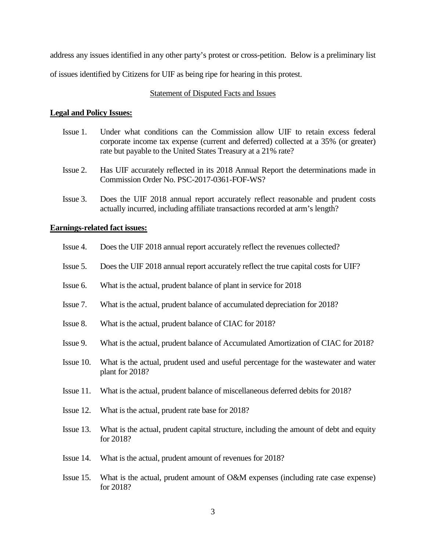address any issues identified in any other party's protest or cross-petition. Below is a preliminary list of issues identified by Citizens for UIF as being ripe for hearing in this protest.

### Statement of Disputed Facts and Issues

### **Legal and Policy Issues:**

- Issue 1. Under what conditions can the Commission allow UIF to retain excess federal corporate income tax expense (current and deferred) collected at a 35% (or greater) rate but payable to the United States Treasury at a 21% rate?
- Issue 2. Has UIF accurately reflected in its 2018 Annual Report the determinations made in Commission Order No. PSC-2017-0361-FOF-WS?
- Issue 3. Does the UIF 2018 annual report accurately reflect reasonable and prudent costs actually incurred, including affiliate transactions recorded at arm's length?

### **Earnings-related fact issues:**

- Issue 4. Does the UIF 2018 annual report accurately reflect the revenues collected?
- Issue 5. Does the UIF 2018 annual report accurately reflect the true capital costs for UIF?
- Issue 6. What is the actual, prudent balance of plant in service for 2018
- Issue 7. What is the actual, prudent balance of accumulated depreciation for 2018?
- Issue 8. What is the actual, prudent balance of CIAC for 2018?
- Issue 9. What is the actual, prudent balance of Accumulated Amortization of CIAC for 2018?
- Issue 10. What is the actual, prudent used and useful percentage for the wastewater and water plant for 2018?
- Issue 11. What is the actual, prudent balance of miscellaneous deferred debits for 2018?
- Issue 12. What is the actual, prudent rate base for 2018?
- Issue 13. What is the actual, prudent capital structure, including the amount of debt and equity for 2018?
- Issue 14. What is the actual, prudent amount of revenues for 2018?
- Issue 15. What is the actual, prudent amount of O&M expenses (including rate case expense) for 2018?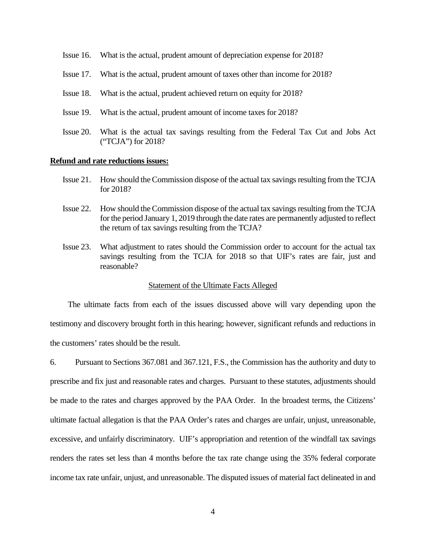- Issue 16. What is the actual, prudent amount of depreciation expense for 2018?
- Issue 17. What is the actual, prudent amount of taxes other than income for 2018?
- Issue 18. What is the actual, prudent achieved return on equity for 2018?
- Issue 19. What is the actual, prudent amount of income taxes for 2018?
- Issue 20. What is the actual tax savings resulting from the Federal Tax Cut and Jobs Act ("TCJA") for 2018?

### **Refund and rate reductions issues:**

- Issue 21. How should the Commission dispose of the actual tax savings resulting from the TCJA for 2018?
- Issue 22. How should the Commission dispose of the actual tax savings resulting from the TCJA for the period January 1, 2019 through the date rates are permanently adjusted to reflect the return of tax savings resulting from the TCJA?
- Issue 23. What adjustment to rates should the Commission order to account for the actual tax savings resulting from the TCJA for 2018 so that UIF's rates are fair, just and reasonable?

#### Statement of the Ultimate Facts Alleged

The ultimate facts from each of the issues discussed above will vary depending upon the testimony and discovery brought forth in this hearing; however, significant refunds and reductions in the customers' rates should be the result.

6. Pursuant to Sections 367.081 and 367.121, F.S., the Commission has the authority and duty to prescribe and fix just and reasonable rates and charges. Pursuant to these statutes, adjustments should be made to the rates and charges approved by the PAA Order. In the broadest terms, the Citizens' ultimate factual allegation is that the PAA Order's rates and charges are unfair, unjust, unreasonable, excessive, and unfairly discriminatory. UIF's appropriation and retention of the windfall tax savings renders the rates set less than 4 months before the tax rate change using the 35% federal corporate income tax rate unfair, unjust, and unreasonable. The disputed issues of material fact delineated in and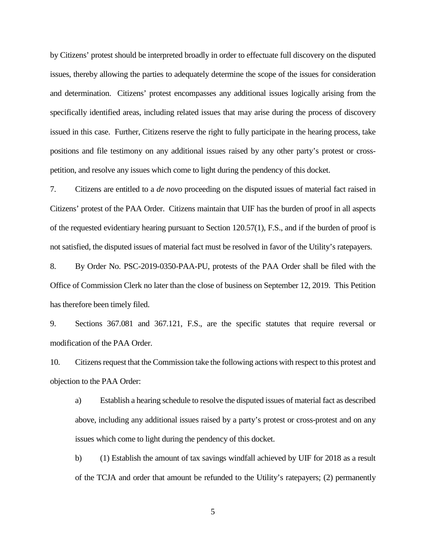by Citizens' protest should be interpreted broadly in order to effectuate full discovery on the disputed issues, thereby allowing the parties to adequately determine the scope of the issues for consideration and determination. Citizens' protest encompasses any additional issues logically arising from the specifically identified areas, including related issues that may arise during the process of discovery issued in this case. Further, Citizens reserve the right to fully participate in the hearing process, take positions and file testimony on any additional issues raised by any other party's protest or crosspetition, and resolve any issues which come to light during the pendency of this docket.

7. Citizens are entitled to a *de novo* proceeding on the disputed issues of material fact raised in Citizens' protest of the PAA Order. Citizens maintain that UIF has the burden of proof in all aspects of the requested evidentiary hearing pursuant to Section 120.57(1), F.S., and if the burden of proof is not satisfied, the disputed issues of material fact must be resolved in favor of the Utility's ratepayers.

8. By Order No. PSC-2019-0350-PAA-PU, protests of the PAA Order shall be filed with the Office of Commission Clerk no later than the close of business on September 12, 2019. This Petition has therefore been timely filed.

9. Sections 367.081 and 367.121, F.S., are the specific statutes that require reversal or modification of the PAA Order.

10. Citizens request that the Commission take the following actions with respect to this protest and objection to the PAA Order:

a) Establish a hearing schedule to resolve the disputed issues of material fact as described above, including any additional issues raised by a party's protest or cross-protest and on any issues which come to light during the pendency of this docket.

b) (1) Establish the amount of tax savings windfall achieved by UIF for 2018 as a result of the TCJA and order that amount be refunded to the Utility's ratepayers; (2) permanently

5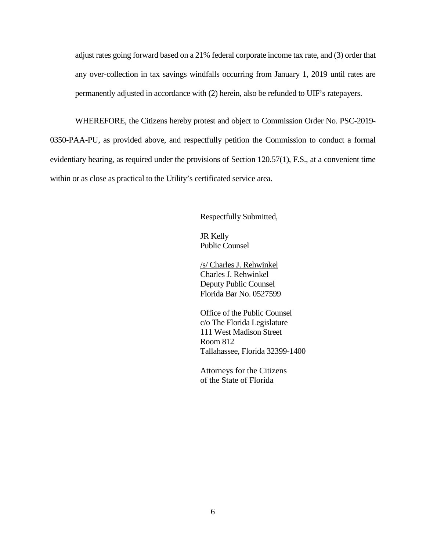adjust rates going forward based on a 21% federal corporate income tax rate, and (3) order that any over-collection in tax savings windfalls occurring from January 1, 2019 until rates are permanently adjusted in accordance with (2) herein, also be refunded to UIF's ratepayers.

WHEREFORE, the Citizens hereby protest and object to Commission Order No. PSC-2019- 0350-PAA-PU, as provided above, and respectfully petition the Commission to conduct a formal evidentiary hearing, as required under the provisions of Section 120.57(1), F.S., at a convenient time within or as close as practical to the Utility's certificated service area.

Respectfully Submitted,

JR Kelly Public Counsel

/s/ Charles J. Rehwinkel Charles J. Rehwinkel Deputy Public Counsel Florida Bar No. 0527599

Office of the Public Counsel c/o The Florida Legislature 111 West Madison Street Room 812 Tallahassee, Florida 32399-1400

 Attorneys for the Citizens of the State of Florida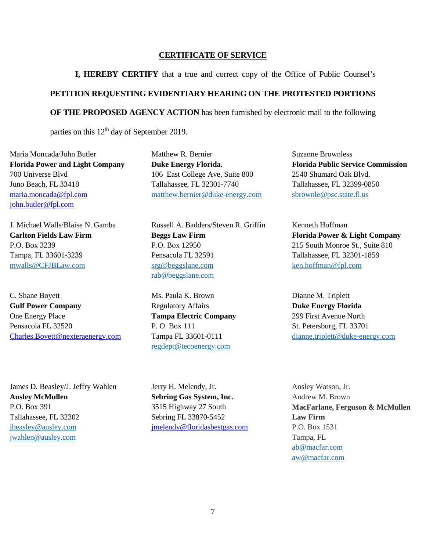### **CERTIFICATE OF SERVICE**

**I, HEREBY CERTIFY** that a true and correct copy of the Office of Public Counsel's

## **PETITION REQUESTING EVIDENTIARY HEARING ON THE PROTESTED PORTIONS**

**OF THE PROPOSED AGENCY ACTION** has been furnished by electronic mail to the following

parties on this  $12<sup>th</sup>$  day of September 2019.

Maria Moncada/John Butler **Florida Power and Light Company** 700 Universe Blvd Juno Beach, FL 33418 [maria.moncada@fpl.com](mailto:maria.moncada@fpl.com) [john.butler@fpl.com](mailto:john.butler@fpl.com)

J. Michael Walls/Blaise N. Gamba **Carlton Fields Law Firm** P.O. Box 3239 Tampa, FL 33601-3239 [mwalls@CFJBLaw.com](mailto:mwalls@CFJBLaw.com)

C. Shane Boyett **Gulf Power Company** One Energy Place Pensacola FL 32520 [Charles.Boyett@nexteraenergy.com](mailto:Charles.Boyett@nexteraenergy.com)

James D. Beasley/J. Jeffry Wahlen **Ausley McMullen** P.O. Box 391 Tallahassee, FL 32302 [jbeasley@ausley.com](mailto:jbeasley@ausley.com) [jwahlen@ausley.com](mailto:jwahlen@ausley.com)

Matthew R. Bernier **Duke Energy Florida.** 106 East College Ave, Suite 800 Tallahassee, FL 32301-7740 [matthew.bernier@duke-energy.com](mailto:matthew.bernier@duke-energy.com)

Russell A. Badders/Steven R. Griffin **Beggs Law Firm**  P.O. Box 12950 Pensacola FL 32591 [srg@beggslane.com](mailto:srg@beggslane.com) [rab@beggslane.com](mailto:rab@beggslane.com)

Ms. Paula K. Brown Regulatory Affairs **Tampa Electric Company** P. O. Box 111 Tampa FL 33601-0111 [regdept@tecoenergy.com](mailto:regdept@tecoenergy.com)

Jerry H. Melendy, Jr. **Sebring Gas System, Inc.** 3515 Highway 27 South Sebring FL 33870-5452 [jmelendy@floridasbestgas.com](mailto:jmelendy@floridasbestgas.com) Suzanne Brownless **Florida Public Service Commission** 2540 Shumard Oak Blvd. Tallahassee, FL 32399-0850 [sbrownle@psc.state.fl.us](mailto:sbrownle@psc.state.fl.us)

Kenneth Hoffman **Florida Power & Light Company** 215 South Monroe St., Suite 810 Tallahassee, FL 32301-1859 [ken.hoffman@fpl.com](mailto:ken.hoffman@fpl.com)

Dianne M. Triplett **Duke Energy Florida** 299 First Avenue North St. Petersburg, FL 33701 [dianne.triplett@duke-energy.com](mailto:dianne.triplett@duke-energy.com)

Ansley Watson, Jr. Andrew M. Brown **MacFarlane, Ferguson & McMullen Law Firm** P.O. Box 1531 Tampa, FL [ab@macfar.com](mailto:ab@macfar.com) [aw@macfar.com](mailto:aw@macfar.com)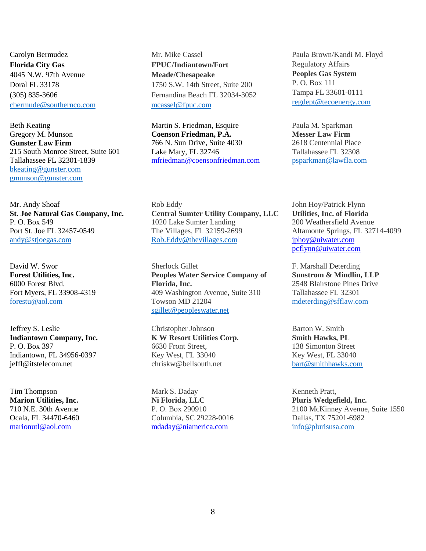Carolyn Bermudez **Florida City Gas**  4045 N.W. 97th Avenue Doral FL 33178 (305) 835-3606 [cbermude@southernco.com](mailto:cbermude@southernco.com)

Beth Keating Gregory M. Munson **Gunster Law Firm** 215 South Monroe Street, Suite 601 Tallahassee FL 32301-1839 bkeating@gunster.com [gmunson@gunster.com](mailto:gmunson@gunster.com)

Mr. Andy Shoaf **St. Joe Natural Gas Company, Inc.** P. O. Box 549 Port St. Joe FL 32457-0549 [andy@stjoegas.com](mailto:andy@stjoegas.com) 

David W. Swor **Forest Utilities, Inc.**  6000 Forest Blvd. Fort Myers, FL 33908-4319 [forestu@aol.com](mailto:forestu@aol.com) 

Jeffrey S. Leslie **Indiantown Company, Inc.**  P. O. Box 397 Indiantown, FL 34956-0397 jeffl@itstelecom.net

Tim Thompson **Marion Utilities, Inc.** 710 N.E. 30th Avenue Ocala, FL 34470-6460 [marionutl@aol.com](mailto:marionutl@aol.com)

Mr. Mike Cassel **FPUC/Indiantown/Fort Meade/Chesapeake** 1750 S.W. 14th Street, Suite 200 Fernandina Beach FL 32034-3052 [mcassel@fpuc.com](mailto:mcassel@fpuc.com)

Martin S. Friedman, Esquire **Coenson Friedman, P.A.** 766 N. Sun Drive, Suite 4030 Lake Mary, FL 32746 [mfriedman@coensonfriedman.com](mailto:mfriedman@coensonfriedman.com)

Rob Eddy **Central Sumter Utility Company, LLC** 1020 Lake Sumter Landing The Villages, FL 32159-2699 [Rob.Eddy@thevillages.com](mailto:Rob.Eddy@thevillages.com) 

Sherlock Gillet **Peoples Water Service Company of Florida, Inc.**  409 Washington Avenue, Suite 310 Towson MD 21204 [sgillet@peopleswater.net](mailto:sgillet@peopleswater.net)

Christopher Johnson **K W Resort Utilities Corp.** 6630 Front Street, Key West, FL 33040 chriskw@bellsouth.net

Mark S. Daday **Ni Florida, LLC**  P. O. Box 290910 Columbia, SC 29228-0016 [mdaday@niamerica.com](mailto:mdaday@niamerica.com)

Paula Brown/Kandi M. Floyd Regulatory Affairs **Peoples Gas System** P. O. Box 111 Tampa FL 33601-0111 [regdept@tecoenergy.com](mailto:regdept@tecoenergy.com)

Paula M. Sparkman **Messer Law Firm** 2618 Centennial Place Tallahassee FL 32308 [psparkman@lawfla.com](mailto:psparkman@lawfla.com)

John Hoy/Patrick Flynn **Utilities, Inc. of Florida** 200 Weathersfield Avenue Altamonte Springs, FL 32714-4099 [jphoy@uiwater.com](mailto:jphoy@uiwater.com) pcflynn@uiwater.com

F. Marshall Deterding **Sunstrom & Mindlin, LLP** 2548 Blairstone Pines Drive Tallahassee FL 32301 [mdeterding@sfflaw.com](mailto:mdeterding@sfflaw.com)

Barton W. Smith **Smith Hawks, PL** 138 Simonton Street Key West, FL 33040 [bart@smithhawks.com](mailto:bart@smithhawks.com)

Kenneth Pratt, **Pluris Wedgefield, Inc.**  2100 McKinney Avenue, Suite 1550 Dallas, TX 75201-6982 [info@plurisusa.com](mailto:info@plurisusa.com)